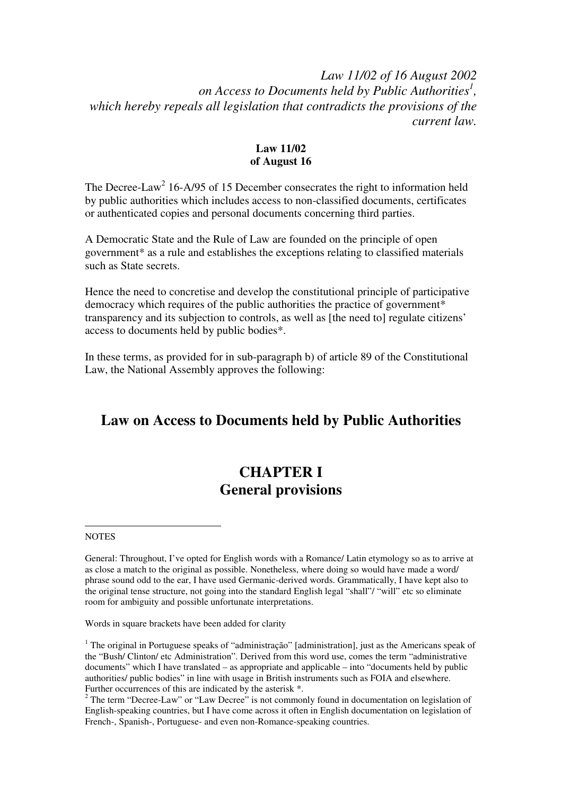### *Law 11/02 of 16 August 2002 on Access to Documents held by Public Authorities<sup>1</sup> , which hereby repeals all legislation that contradicts the provisions of the current law.*

#### **Law 11/02 of August 16**

The Decree-Law<sup>2</sup> 16-A/95 of 15 December consecrates the right to information held by public authorities which includes access to non-classified documents, certificates or authenticated copies and personal documents concerning third parties.

A Democratic State and the Rule of Law are founded on the principle of open government\* as a rule and establishes the exceptions relating to classified materials such as State secrets.

Hence the need to concretise and develop the constitutional principle of participative democracy which requires of the public authorities the practice of government\* transparency and its subjection to controls, as well as [the need to] regulate citizens' access to documents held by public bodies\*.

In these terms, as provided for in sub-paragraph b) of article 89 of the Constitutional Law, the National Assembly approves the following:

# **Law on Access to Documents held by Public Authorities**

# **CHAPTER I General provisions**

#### **NOTES**

 $\overline{a}$ 

Words in square brackets have been added for clarity

<sup>1</sup> The original in Portuguese speaks of "administração" [administration], just as the Americans speak of the "Bush/ Clinton/ etc Administration". Derived from this word use, comes the term "administrative documents" which I have translated – as appropriate and applicable – into "documents held by public authorities/ public bodies" in line with usage in British instruments such as FOIA and elsewhere. Further occurrences of this are indicated by the asterisk \*.

<sup>2</sup> The term "Decree-Law" or "Law Decree" is not commonly found in documentation on legislation of English-speaking countries, but I have come across it often in English documentation on legislation of French-, Spanish-, Portuguese- and even non-Romance-speaking countries.

General: Throughout, I've opted for English words with a Romance/ Latin etymology so as to arrive at as close a match to the original as possible. Nonetheless, where doing so would have made a word/ phrase sound odd to the ear, I have used Germanic-derived words. Grammatically, I have kept also to the original tense structure, not going into the standard English legal "shall"/ "will" etc so eliminate room for ambiguity and possible unfortunate interpretations.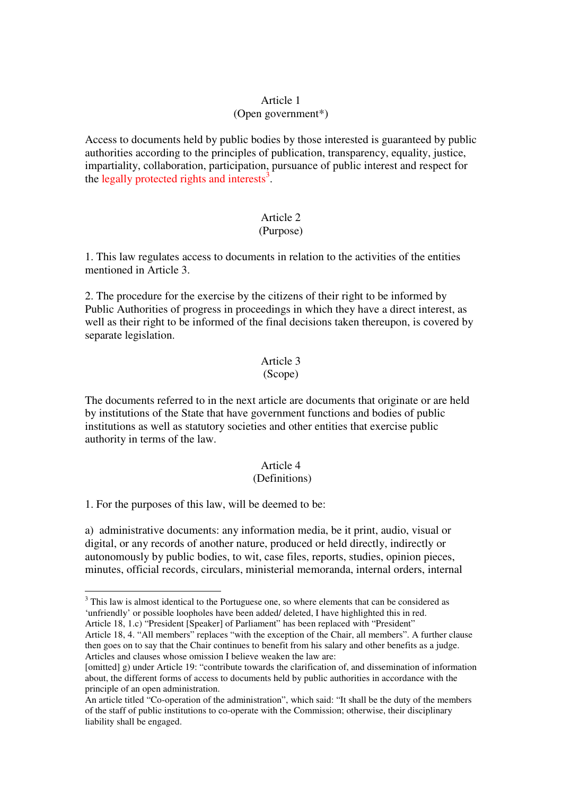#### Article 1

#### (Open government\*)

Access to documents held by public bodies by those interested is guaranteed by public authorities according to the principles of publication, transparency, equality, justice, impartiality, collaboration, participation, pursuance of public interest and respect for the legally protected rights and interests<sup>3</sup>.

#### Article 2 (Purpose)

## 1. This law regulates access to documents in relation to the activities of the entities mentioned in Article 3.

2. The procedure for the exercise by the citizens of their right to be informed by Public Authorities of progress in proceedings in which they have a direct interest, as well as their right to be informed of the final decisions taken thereupon, is covered by separate legislation.

# Article 3

#### (Scope)

The documents referred to in the next article are documents that originate or are held by institutions of the State that have government functions and bodies of public institutions as well as statutory societies and other entities that exercise public authority in terms of the law.

### Article 4

#### (Definitions)

1. For the purposes of this law, will be deemed to be:

 $\overline{a}$ 

a) administrative documents: any information media, be it print, audio, visual or digital, or any records of another nature, produced or held directly, indirectly or autonomously by public bodies, to wit, case files, reports, studies, opinion pieces, minutes, official records, circulars, ministerial memoranda, internal orders, internal

Article 18, 4. "All members" replaces "with the exception of the Chair, all members". A further clause then goes on to say that the Chair continues to benefit from his salary and other benefits as a judge. Articles and clauses whose omission I believe weaken the law are:

 $3$  This law is almost identical to the Portuguese one, so where elements that can be considered as 'unfriendly' or possible loopholes have been added/ deleted, I have highlighted this in red. Article 18, 1.c) "President [Speaker] of Parliament" has been replaced with "President"

<sup>[</sup>omitted] g) under Article 19: "contribute towards the clarification of, and dissemination of information about, the different forms of access to documents held by public authorities in accordance with the principle of an open administration.

An article titled "Co-operation of the administration", which said: "It shall be the duty of the members of the staff of public institutions to co-operate with the Commission; otherwise, their disciplinary liability shall be engaged.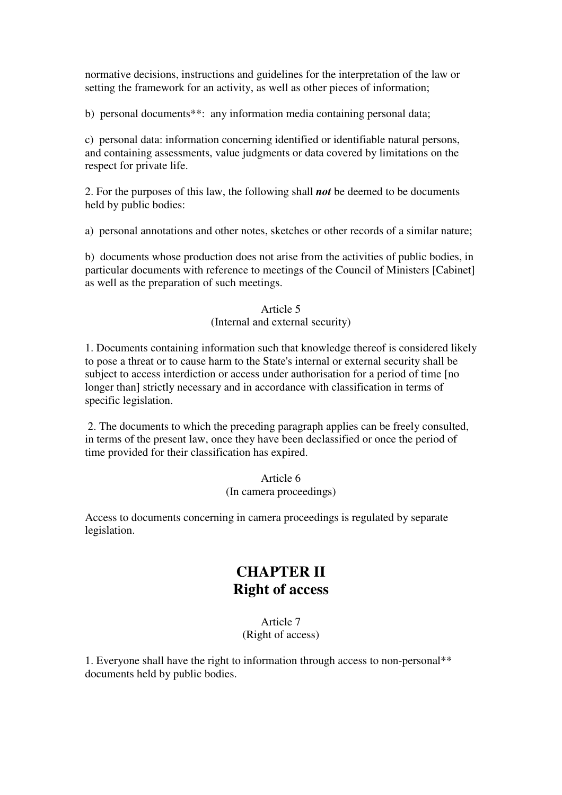normative decisions, instructions and guidelines for the interpretation of the law or setting the framework for an activity, as well as other pieces of information;

b) personal documents\*\*: any information media containing personal data;

c) personal data: information concerning identified or identifiable natural persons, and containing assessments, value judgments or data covered by limitations on the respect for private life.

2. For the purposes of this law, the following shall *not* be deemed to be documents held by public bodies:

a) personal annotations and other notes, sketches or other records of a similar nature;

b) documents whose production does not arise from the activities of public bodies, in particular documents with reference to meetings of the Council of Ministers [Cabinet] as well as the preparation of such meetings.

#### Article 5 (Internal and external security)

1. Documents containing information such that knowledge thereof is considered likely to pose a threat or to cause harm to the State's internal or external security shall be subject to access interdiction or access under authorisation for a period of time [no longer than] strictly necessary and in accordance with classification in terms of specific legislation.

 2. The documents to which the preceding paragraph applies can be freely consulted, in terms of the present law, once they have been declassified or once the period of time provided for their classification has expired.

#### Article 6 (In camera proceedings)

Access to documents concerning in camera proceedings is regulated by separate legislation.

# **CHAPTER II Right of access**

#### Article 7 (Right of access)

1. Everyone shall have the right to information through access to non-personal\*\* documents held by public bodies.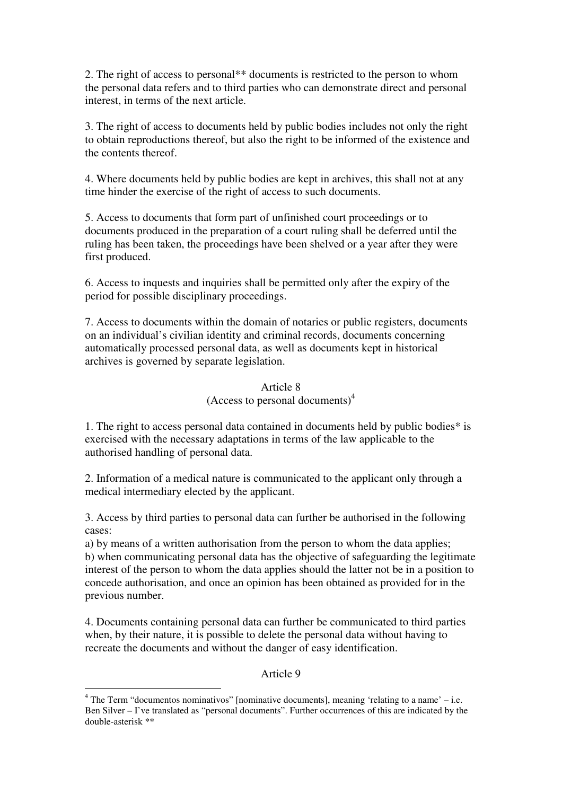2. The right of access to personal\*\* documents is restricted to the person to whom the personal data refers and to third parties who can demonstrate direct and personal interest, in terms of the next article.

3. The right of access to documents held by public bodies includes not only the right to obtain reproductions thereof, but also the right to be informed of the existence and the contents thereof.

4. Where documents held by public bodies are kept in archives, this shall not at any time hinder the exercise of the right of access to such documents.

5. Access to documents that form part of unfinished court proceedings or to documents produced in the preparation of a court ruling shall be deferred until the ruling has been taken, the proceedings have been shelved or a year after they were first produced.

6. Access to inquests and inquiries shall be permitted only after the expiry of the period for possible disciplinary proceedings.

7. Access to documents within the domain of notaries or public registers, documents on an individual's civilian identity and criminal records, documents concerning automatically processed personal data, as well as documents kept in historical archives is governed by separate legislation.

#### Article 8

(Access to personal documents)<sup>4</sup>

1. The right to access personal data contained in documents held by public bodies\* is exercised with the necessary adaptations in terms of the law applicable to the authorised handling of personal data.

2. Information of a medical nature is communicated to the applicant only through a medical intermediary elected by the applicant.

3. Access by third parties to personal data can further be authorised in the following cases:

a) by means of a written authorisation from the person to whom the data applies; b) when communicating personal data has the objective of safeguarding the legitimate interest of the person to whom the data applies should the latter not be in a position to concede authorisation, and once an opinion has been obtained as provided for in the previous number.

4. Documents containing personal data can further be communicated to third parties when, by their nature, it is possible to delete the personal data without having to recreate the documents and without the danger of easy identification.

#### Article 9

 $\overline{a}$ 

 $4$  The Term "documentos nominativos" [nominative documents], meaning 'relating to a name' – i.e. Ben Silver – I've translated as "personal documents". Further occurrences of this are indicated by the double-asterisk \*\*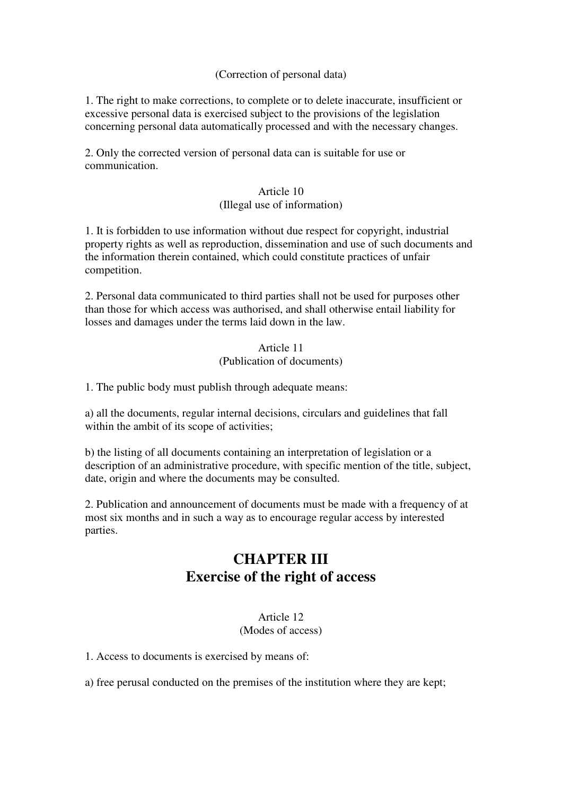#### (Correction of personal data)

1. The right to make corrections, to complete or to delete inaccurate, insufficient or excessive personal data is exercised subject to the provisions of the legislation concerning personal data automatically processed and with the necessary changes.

2. Only the corrected version of personal data can is suitable for use or communication.

#### Article 10 (Illegal use of information)

1. It is forbidden to use information without due respect for copyright, industrial property rights as well as reproduction, dissemination and use of such documents and the information therein contained, which could constitute practices of unfair competition.

2. Personal data communicated to third parties shall not be used for purposes other than those for which access was authorised, and shall otherwise entail liability for losses and damages under the terms laid down in the law.

#### Article 11 (Publication of documents)

1. The public body must publish through adequate means:

a) all the documents, regular internal decisions, circulars and guidelines that fall within the ambit of its scope of activities;

b) the listing of all documents containing an interpretation of legislation or a description of an administrative procedure, with specific mention of the title, subject, date, origin and where the documents may be consulted.

2. Publication and announcement of documents must be made with a frequency of at most six months and in such a way as to encourage regular access by interested parties.

# **CHAPTER III Exercise of the right of access**

#### Article 12 (Modes of access)

1. Access to documents is exercised by means of:

a) free perusal conducted on the premises of the institution where they are kept;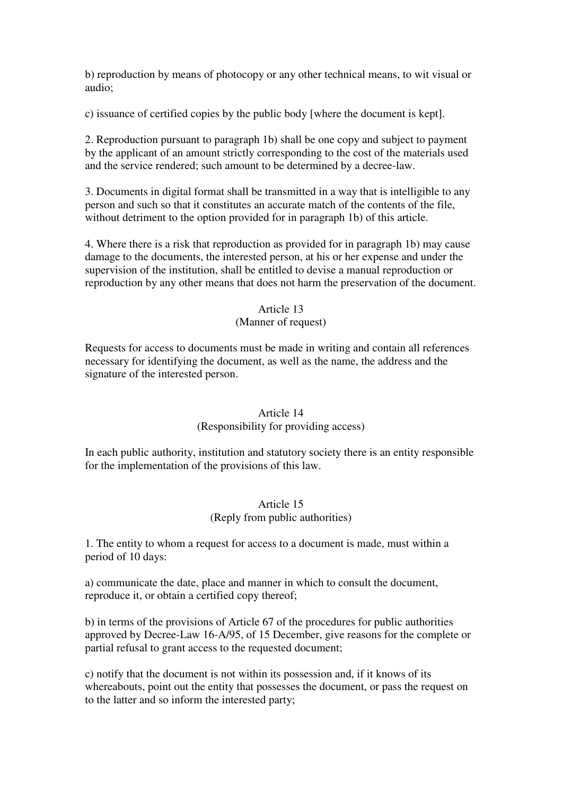b) reproduction by means of photocopy or any other technical means, to wit visual or audio;

c) issuance of certified copies by the public body [where the document is kept].

2. Reproduction pursuant to paragraph 1b) shall be one copy and subject to payment by the applicant of an amount strictly corresponding to the cost of the materials used and the service rendered; such amount to be determined by a decree-law.

3. Documents in digital format shall be transmitted in a way that is intelligible to any person and such so that it constitutes an accurate match of the contents of the file, without detriment to the option provided for in paragraph 1b) of this article.

4. Where there is a risk that reproduction as provided for in paragraph 1b) may cause damage to the documents, the interested person, at his or her expense and under the supervision of the institution, shall be entitled to devise a manual reproduction or reproduction by any other means that does not harm the preservation of the document.

#### Article 13

#### (Manner of request)

Requests for access to documents must be made in writing and contain all references necessary for identifying the document, as well as the name, the address and the signature of the interested person.

#### Article 14

#### (Responsibility for providing access)

In each public authority, institution and statutory society there is an entity responsible for the implementation of the provisions of this law.

#### Article 15 (Reply from public authorities)

1. The entity to whom a request for access to a document is made, must within a period of 10 days:

a) communicate the date, place and manner in which to consult the document, reproduce it, or obtain a certified copy thereof;

b) in terms of the provisions of Article 67 of the procedures for public authorities approved by Decree-Law 16-A/95, of 15 December, give reasons for the complete or partial refusal to grant access to the requested document;

c) notify that the document is not within its possession and, if it knows of its whereabouts, point out the entity that possesses the document, or pass the request on to the latter and so inform the interested party;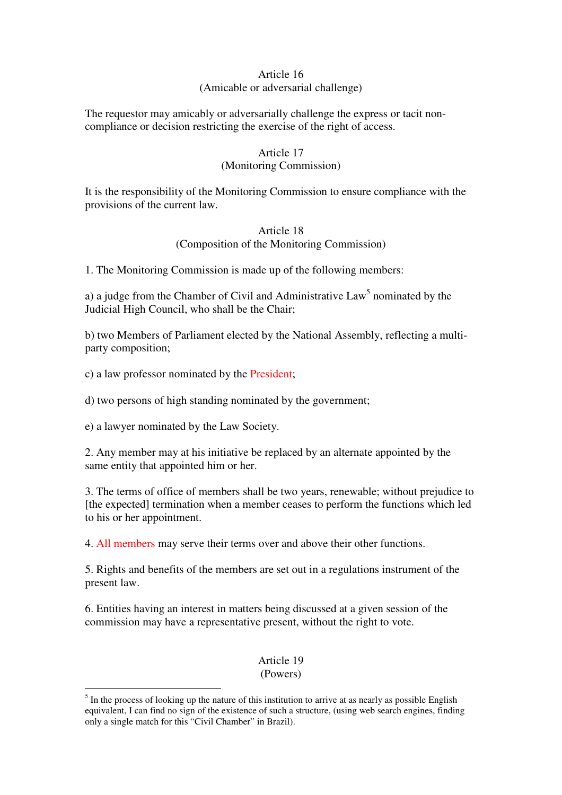#### Article 16

#### (Amicable or adversarial challenge)

The requestor may amicably or adversarially challenge the express or tacit noncompliance or decision restricting the exercise of the right of access.

#### Article 17

#### (Monitoring Commission)

It is the responsibility of the Monitoring Commission to ensure compliance with the provisions of the current law.

#### Article 18 (Composition of the Monitoring Commission)

1. The Monitoring Commission is made up of the following members:

a) a judge from the Chamber of Civil and Administrative  $Law<sup>5</sup>$  nominated by the Judicial High Council, who shall be the Chair;

b) two Members of Parliament elected by the National Assembly, reflecting a multiparty composition;

c) a law professor nominated by the President;

d) two persons of high standing nominated by the government;

e) a lawyer nominated by the Law Society.

 $\overline{a}$ 

2. Any member may at his initiative be replaced by an alternate appointed by the same entity that appointed him or her.

3. The terms of office of members shall be two years, renewable; without prejudice to [the expected] termination when a member ceases to perform the functions which led to his or her appointment.

4. All members may serve their terms over and above their other functions.

5. Rights and benefits of the members are set out in a regulations instrument of the present law.

6. Entities having an interest in matters being discussed at a given session of the commission may have a representative present, without the right to vote.

> Article 19 (Powers)

 $<sup>5</sup>$  In the process of looking up the nature of this institution to arrive at as nearly as possible English</sup> equivalent, I can find no sign of the existence of such a structure, (using web search engines, finding only a single match for this "Civil Chamber" in Brazil).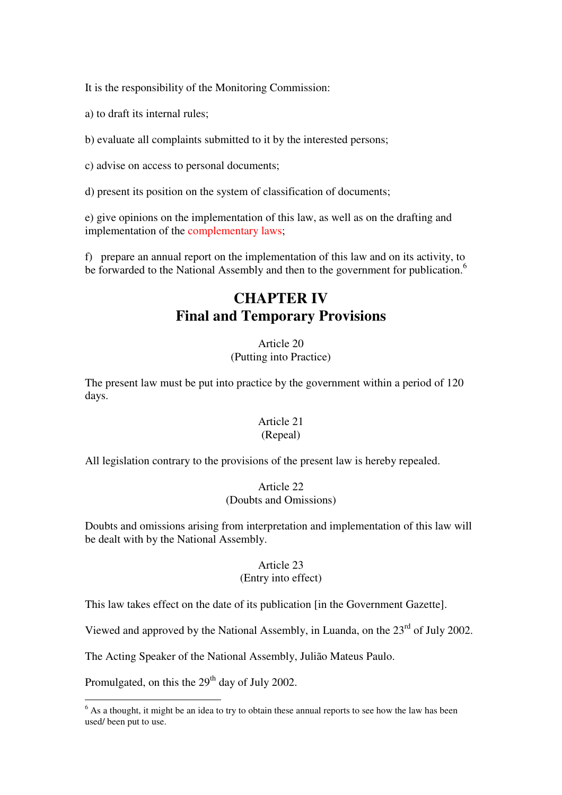It is the responsibility of the Monitoring Commission:

- a) to draft its internal rules;
- b) evaluate all complaints submitted to it by the interested persons;
- c) advise on access to personal documents;
- d) present its position on the system of classification of documents;

e) give opinions on the implementation of this law, as well as on the drafting and implementation of the complementary laws;

f) prepare an annual report on the implementation of this law and on its activity, to be forwarded to the National Assembly and then to the government for publication.<sup>6</sup>

# **CHAPTER IV Final and Temporary Provisions**

#### Article 20 (Putting into Practice)

The present law must be put into practice by the government within a period of 120 days.

### Article 21

#### (Repeal)

All legislation contrary to the provisions of the present law is hereby repealed.

#### Article 22 (Doubts and Omissions)

Doubts and omissions arising from interpretation and implementation of this law will be dealt with by the National Assembly.

#### Article 23 (Entry into effect)

This law takes effect on the date of its publication [in the Government Gazette].

Viewed and approved by the National Assembly, in Luanda, on the  $23<sup>rd</sup>$  of July 2002.

The Acting Speaker of the National Assembly, Julião Mateus Paulo.

Promulgated, on this the 29<sup>th</sup> day of July 2002.

<sup>&</sup>lt;sup>6</sup> As a thought, it might be an idea to try to obtain these annual reports to see how the law has been used/ been put to use.